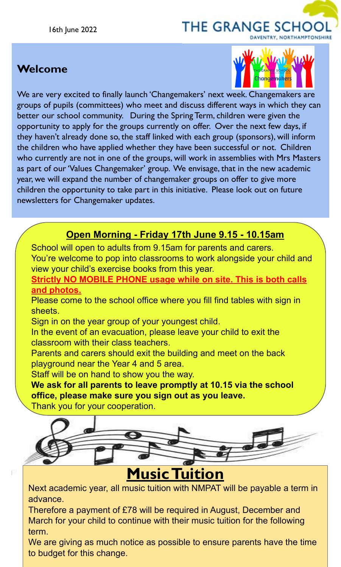# THE GRANGE SCHOO

## **Welcome**



We are very excited to finally launch 'Changemakers' next week. Changemakers are groups of pupils (committees) who meet and discuss different ways in which they can better our school community. During the Spring Term, children were given the opportunity to apply for the groups currently on offer. Over the next few days, if they haven't already done so, the staff linked with each group (sponsors), will inform the children who have applied whether they have been successful or not. Children who currently are not in one of the groups, will work in assemblies with Mrs Masters as part of our 'Values Changemaker' group. We envisage, that in the new academic year, we will expand the number of changemaker groups on offer to give more children the opportunity to take part in this initiative. Please look out on future newsletters for Changemaker updates.

#### **Open Morning - Friday 17th June 9.15 - 10.15am**

School will open to adults from 9.15am for parents and carers. You're welcome to pop into classrooms to work alongside your child and view your child's exercise books from this year.

**Strictly NO MOBILE PHONE usage while on site. This is both calls and photos.**

Please come to the school office where you fill find tables with sign in sheets.

Sign in on the year group of your youngest child.

In the event of an evacuation, please leave your child to exit the classroom with their class teachers.

Parents and carers should exit the building and meet on the back playground near the Year 4 and 5 area.

Staff will be on hand to show you the way.

**We ask for all parents to leave promptly at 10.15 via the school office, please make sure you sign out as you leave.**

Thank you for your cooperation.

r.



Next academic year, all music tuition with NMPAT will be payable a term in advance.

Therefore a payment of £78 will be required in August, December and March for your child to continue with their music tuition for the following term.

We are giving as much notice as possible to ensure parents have the time to budget for this change.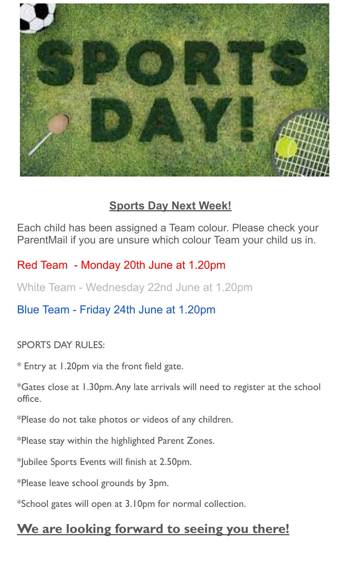

#### **Sports Day Next Week!**

Each child has been assigned a Team colour. Please check your ParentMail if you are unsure which colour Team your child us in.

Red Team - Monday 20th June at 1.20pm

White Team - Wednesday 22nd June at 1.20pm

Blue Team - Friday 24th June at 1.20pm

SPORTS DAY RULES:

\* Entry at 1.20pm via the front field gate.

\*Gates close at 1.30pm. Any late arrivals will need to register at the school office.

\*Please do not take photos or videos of any children.

\*Please stay within the highlighted Parent Zones.

\*Jubilee Sports Events will finish at 2.50pm.

\*Please leave school grounds by 3pm.

\*School gates will open at 3.10pm for normal collection.

# **We are looking forward to seeing you there!**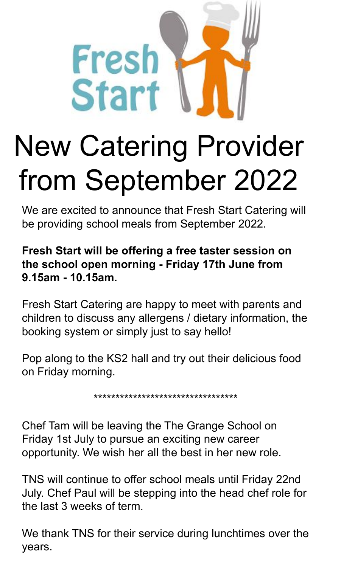

# New Catering Provider from September 2022

We are excited to announce that Fresh Start Catering will be providing school meals from September 2022.

#### **Fresh Start will be offering a free taster session on the school open morning - Friday 17th June from 9.15am - 10.15am.**

Fresh Start Catering are happy to meet with parents and children to discuss any allergens / dietary information, the booking system or simply just to say hello!

Pop along to the KS2 hall and try out their delicious food on Friday morning.

\*\*\*\*\*\*\*\*\*\*\*\*\*\*\*\*\*\*\*\*\*\*\*\*\*\*\*\*\*\*\*\*\*

Chef Tam will be leaving the The Grange School on Friday 1st July to pursue an exciting new career opportunity. We wish her all the best in her new role.

TNS will continue to offer school meals until Friday 22nd July. Chef Paul will be stepping into the head chef role for the last 3 weeks of term.

We thank TNS for their service during lunchtimes over the years.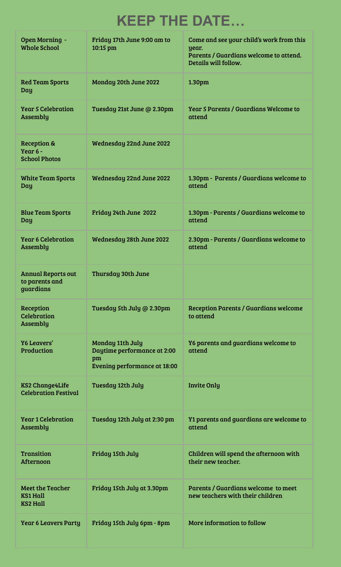# **KEEP THE DATE…**

| Open Morning -<br><b>Whole School</b>                         | Friday 17th June 9:00 am to<br>10:15 pm                                                      | Come and see your child's work from this<br>year.<br>Parents / Guardians welcome to attend.<br>Details will follow. |
|---------------------------------------------------------------|----------------------------------------------------------------------------------------------|---------------------------------------------------------------------------------------------------------------------|
| <b>Red Team Sports</b><br>Day                                 | Monday 20th June 2022                                                                        | 1.30pm                                                                                                              |
| <b>Year 5 Celebration</b><br>Assembly                         | Tuesday 21st June @ 2.30pm                                                                   | <b>Year 5 Parents / Guardians Welcome to</b><br>attend                                                              |
| <b>Reception &amp;</b><br>Year 6 -<br><b>School Photos</b>    | Wednesday 22nd June 2022                                                                     |                                                                                                                     |
| <b>White Team Sports</b><br>Day                               | Wednesday 22nd June 2022                                                                     | 1.30pm - Parents / Guardians welcome to<br>attend                                                                   |
| <b>Blue Team Sports</b><br>Day                                | Friday 24th June 2022                                                                        | 1.30pm - Parents / Guardians welcome to<br>attend                                                                   |
| <b>Year 6 Celebration</b><br>Assembly                         | Wednesday 28th June 2022                                                                     | 2.30pm - Parents / Guardians welcome to<br>attend                                                                   |
| <b>Annual Reports out</b><br>to parents and<br>guardians      | Thursday 30th June                                                                           |                                                                                                                     |
| Reception<br><b>Celebration</b><br>Assembly                   | Tuesday 5th July @ 2.30pm                                                                    | Reception Parents / Guardians welcome<br>to attend                                                                  |
| Y6 Leavers'<br>Production                                     | Monday 11th July<br>Daytime performance at 2:00<br>pm<br><b>Evening performance at 18:00</b> | Y6 parents and guardians welcome to<br>attend                                                                       |
| <b>KS2 Change4Life</b><br><b>Celebration Festival</b>         | Tuesday 12th July                                                                            | <b>Invite Only</b>                                                                                                  |
| <b>Year 1 Celebration</b><br>Assembly                         | Tuesday 12th July at 2:30 pm                                                                 | Y1 parents and guardians are welcome to<br>attend                                                                   |
| Transition<br>Afternoon                                       | Friday 15th July                                                                             | Children will spend the afternoon with<br>their new teacher.                                                        |
| <b>Meet the Teacher</b><br><b>KS1 Hall</b><br><b>KS2 Hall</b> | Friday 15th July at 3.30pm                                                                   | Parents / Guardians welcome to meet<br>new teachers with their children                                             |
| <b>Year 6 Leavers Party</b>                                   | Friday 15th July 6pm - 8pm                                                                   | More information to follow                                                                                          |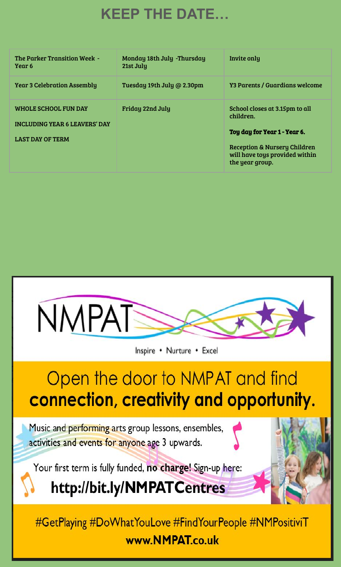# **KEEP THE DATE…**

| The Parker Transition Week -<br>Year 6                                                  | Monday 18th July -Thursday<br>21st July | Invite only                                                                                                                                                      |
|-----------------------------------------------------------------------------------------|-----------------------------------------|------------------------------------------------------------------------------------------------------------------------------------------------------------------|
| <b>Year 3 Celebration Assembly</b>                                                      | Tuesday 19th July @ 2.30pm              | <b>Y3 Parents / Guardians welcome</b>                                                                                                                            |
| WHOLE SCHOOL FUN DAY<br><b>INCLUDING YEAR 6 LEAVERS' DAY</b><br><b>LAST DAY OF TERM</b> | Friday 22nd July                        | School closes at 3.15pm to all<br>children.<br>Toy day for Year 1 - Year 6.<br>Reception & Nursery Children<br>will have toys provided within<br>the year group. |

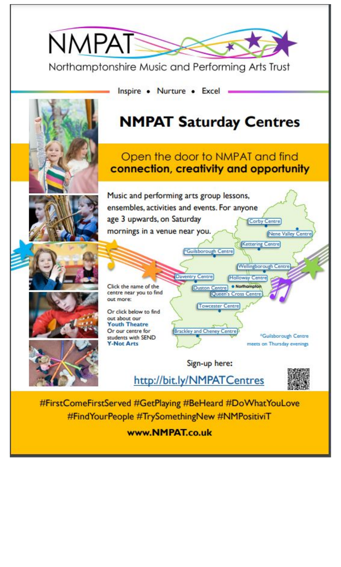

#FindYourPeople #TrySomethingNew #NMPositiviT

www.NMPAT.co.uk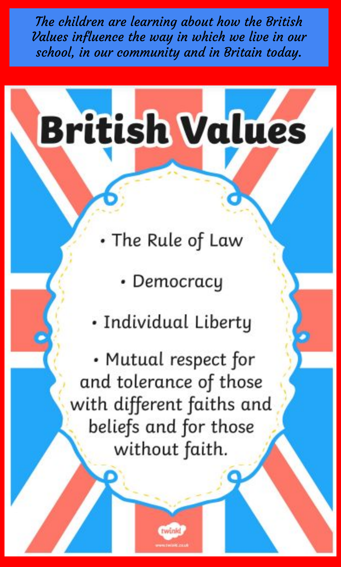The children are learning about how the British Values influence the way in which we live in our school, in our community and in Britain today.

# **British Values**

- The Rule of Law
	- Democracy
- · Individual Liberty

• Mutual respect for and tolerance of those with different faiths and beliefs and for those without faith.

twink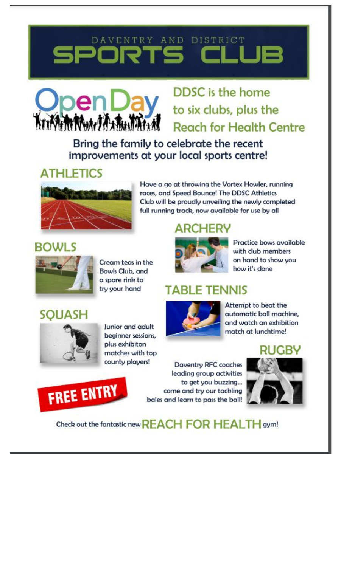# DAVENTRY AND DISTRICT IRTS



# DDSC is the home to six clubs, plus the **Reach for Health Centre**

Bring the family to celebrate the recent improvements at your local sports centre!

### **ATHLETICS**



Have a go at throwing the Vortex Howler, running races, and Speed Bounce! The DDSC Athletics Club will be proudly unveiling the newly completed full running track, now available for use by all

## **ARCHERY**



Cream teas in the Bowls Club, and a spare rink to try your hand



Practice bows available with club members on hand to show you how it's done

#### **TABLE TENNIS**



Attempt to beat the automatic ball machine. and watch an exhibition match at lunchtime!

#### RUGBY





Check out the fantastic new REACH FOR HEALTH gym!





Junior and adult beginner sessions, plus exhibiton matches with top county players!

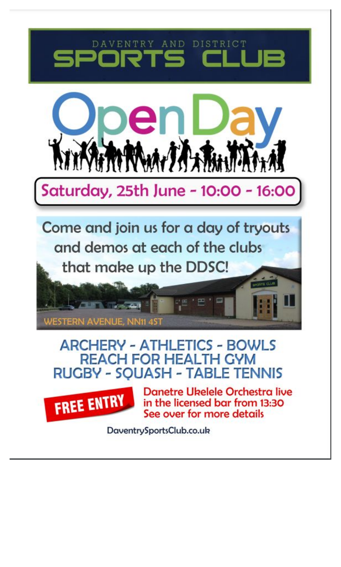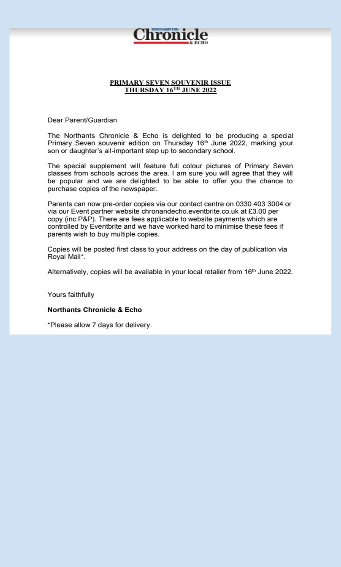

#### PRIMARY SEVEN SOUVENIR ISSUE THURSDAY 16TH JUNE 2022

Dear Parent/Guardian

The Northants Chronicle & Echo is delighted to be producing a special Primary Seven souvenir edition on Thursday 16th June 2022, marking your son or daughter's all-important step up to secondary school.

The special supplement will feature full colour pictures of Primary Seven classes from schools across the area. I am sure you will agree that they will be popular and we are delighted to be able to offer you the chance to purchase copies of the newspaper.

Parents can now pre-order copies via our contact centre on 0330 403 3004 or via our Event partner website chronandecho.eventbrite.co.uk at £3.00 per copy (inc P&P). There are fees applicable to website payments which are controlled by Eventbrite and we have worked hard to minimise these fees if parents wish to buy multiple copies.

Copies will be posted first class to your address on the day of publication via Royal Mail\*.

Alternatively, copies will be available in your local retailer from 16<sup>th</sup> June 2022.

Yours faithfully

**Northants Chronicle & Echo** 

\*Please allow 7 days for delivery.